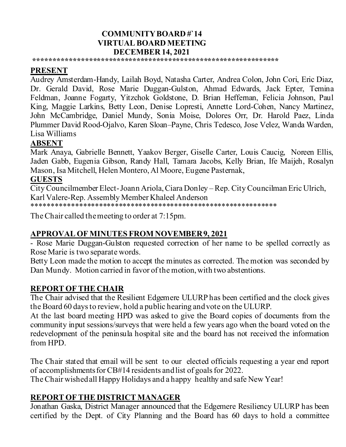### **COMMUNITY BOARD #`14 VIRTUAL BOARD MEETING DECEMBER 14, 2021**

**\*\*\*\*\*\*\*\*\*\*\*\*\*\*\*\*\*\*\*\*\*\*\*\*\*\*\*\*\*\*\*\*\*\*\*\*\*\*\*\*\*\*\*\*\*\*\*\*\*\*\*\*\*\*\*\*\*\*\*\*\*\***

# **PRESENT**

Audrey Amsterdam-Handy, Lailah Boyd, Natasha Carter, Andrea Colon, John Cori, Eric Diaz, Dr. Gerald David, Rose Marie Duggan-Gulston, Ahmad Edwards, Jack Epter, Temina Feldman, Joanne Fogarty, Yitzchok Goldstone, D. Brian Heffernan, Felicia Johnson, Paul King, Maggie Larkins, Betty Leon, Denise Lopresti, Annette Lord-Cohen, Nancy Martinez, John McCambridge, Daniel Mundy, Sonia Moise, Dolores Orr, Dr. Harold Paez, Linda Plummer David Rood-Ojalvo, Karen Sloan–Payne, Chris Tedesco, Jose Velez, Wanda Warden, Lisa Williams

### **ABSENT**

Mark Anaya, Gabrielle Bennett, Yaakov Berger, Giselle Carter, Louis Caucig, Noreen Ellis, Jaden Gabb, Eugenia Gibson, Randy Hall, Tamara Jacobs, Kelly Brian, Ife Maijeh, Rosalyn Mason, Isa Mitchell, Helen Montero, Al Moore, Eugene Pasternak,

#### **GUESTS**

City Councilmember Elect-Joann Ariola, Ciara Donley –Rep. City Councilman Eric Ulrich, Karl Valere-Rep. Assembly Member Khaleel Anderson \*\*\*\*\*\*\*\*\*\*\*\*\*\*\*\*\*\*\*\*\*\*\*\*\*\*\*\*\*\*\*\*\*\*\*\*\*\*\*\*\*\*\*\*\*\*\*\*\*\*\*\*\*\*\*\*\*\*\*\*\*\*

The Chair called the meeting to order at 7:15pm.

# **APPROVAL OF MINUTES FROM NOVEMBER 9, 2021**

- Rose Marie Duggan-Gulston requested correction of her name to be spelled correctly as Rose Marie is two separate words.

Betty Leon made the motion to accept the minutes as corrected. The motion was seconded by Dan Mundy. Motion carried in favor of the motion, with two abstentions.

## **REPORT OF THE CHAIR**

The Chair advised that the Resilient Edgemere ULURP has been certified and the clock gives the Board 60 days to review, hold a public hearing and vote on the ULURP.

At the last board meeting HPD was asked to give the Board copies of documents from the community input sessions/surveys that were held a few years ago when the board voted on the redevelopment of the peninsula hospital site and the board has not received the information from HPD.

The Chair stated that email will be sent to our elected officials requesting a year end report of accomplishments for CB#14 residents and list of goals for 2022.

The Chair wished all Happy Holidays and a happy healthy and safe New Year!

#### **REPORT OF THE DISTRICT MANAGER**

Jonathan Gaska, District Manager announced that the Edgemere Resiliency ULURP has been certified by the Dept. of City Planning and the Board has 60 days to hold a committee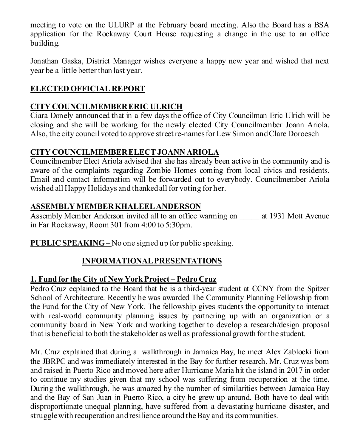meeting to vote on the ULURP at the February board meeting. Also the Board has a BSA application for the Rockaway Court House requesting a change in the use to an office building.

Jonathan Gaska, District Manager wishes everyone a happy new year and wished that next year be a little better than last year.

# **ELECTED OFFICIAL REPORT**

# **CITY COUNCILMEMBER ERIC ULRICH**

Ciara Donely announced that in a few days the office of City Councilman Eric Ulrich will be closing and she will be working for the newly elected City Councilmember Joann Ariola. Also, the city council voted to approve street re-names for Lew Simon and Clare Doroesch

#### **CITY COUNCILMEMBER ELECT JOANN ARIOLA**

Councilmember Elect Ariola advised that she has already been active in the community and is aware of the complaints regarding Zombie Homes coming from local civics and residents. Email and contact information will be forwarded out to everybody. Councilmember Ariola wished all Happy Holidays and thanked all for voting for her.

#### **ASSEMBLY MEMBER KHALEEL ANDERSON**

Assembly Member Anderson invited all to an office warming on at 1931 Mott Avenue in Far Rockaway, Room 301 from 4:00 to 5:30pm.

#### **PUBLIC SPEAKING –** No one signed up for public speaking.

## **INFORMATIONAL PRESENTATIONS**

#### **1. Fund for the City of New York Project – Pedro Cruz**

Pedro Cruz ecplained to the Board that he is a third-year student at CCNY from the Spitzer School of Architecture. Recently he was awarded The Community Planning Fellowship from the Fund for the City of New York. The fellowship gives students the opportunity to interact with real-world community planning issues by partnering up with an organization or a community board in New York and working together to develop a research/design proposal that is beneficial to both the stakeholder as well as professional growth for the student.

Mr. Cruz explained that during a walkthrough in Jamaica Bay, he meet Alex Zablocki from the JBRPC and was immediately interested in the Bay for further research. Mr. Cruz was born and raised in Puerto Rico and moved here after Hurricane Maria hit the island in 2017 in order to continue my studies given that my school was suffering from recuperation at the time. During the walkthrough, he was amazed by the number of similarities between Jamaica Bay and the Bay of San Juan in Puerto Rico, a city he grew up around. Both have to deal with disproportionate unequal planning, have suffered from a devastating hurricane disaster, and struggle with recuperation and resilience around the Bay and its communities.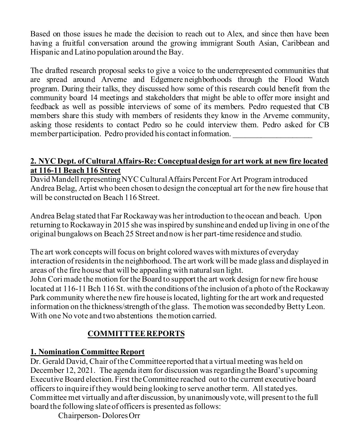Based on those issues he made the decision to reach out to Alex, and since then have been having a fruitful conversation around the growing immigrant South Asian, Caribbean and Hispanic and Latino population around the Bay.

The drafted research proposal seeks to give a voice to the underrepresented communities that are spread around Arverne and Edgemere neighborhoods through the Flood Watch program. During their talks, they discussed how some of this research could benefit from the community board 14 meetings and stakeholders that might be able to offer more insight and feedback as well as possible interviews of some of its members. Pedro requested that CB members share this study with members of residents they know in the Arverne community, asking those residents to contact Pedro so he could interview them. Pedro asked for CB member participation. Pedro provided his contact information.

#### **2. NYC Dept. of Cultural Affairs-Re: Conceptual design for art work at new fire located at 116-11 Beach 116 Street**

David Mandell representing NYC Cultural Affairs Percent For Art Program introduced Andrea Belag, Artist who been chosen to design the conceptual art for the new fire house that will be constructed on Beach 116 Street.

Andrea Belag stated that Far Rockaway was her introduction to the ocean and beach. Upon returning to Rockaway in 2015 she was inspired by sunshine and ended up living in one of the original bungalows on Beach 25 Street and now is her part-time residence and studio.

The art work concepts will focus on bright colored waves with mixtures of everyday interaction of residents in the neighborhood. The art work will be made glass and displayed in areas of the fire house that will be appealing with natural sun light.

John Cori made the motion for the Board to support the art work design for new fire house located at 116-11 Bch 116 St. with the conditions of the inclusion of a photo of the Rockaway Park community where the new fire house is located, lighting for the art work and requested information on the thickness/strength of the glass. The motion was seconded by Betty Leon. With one No vote and two abstentions the motion carried.

# **COMMITTTEE REPORTS**

## **1. Nomination Committee Report**

Dr. Gerald David, Chair of the Committee reported that a virtual meeting was held on December 12, 2021. The agenda item for discussion was regarding the Board's upcoming Executive Board election. First the Committee reached out to the current executive board officers to inquire if they would being looking to serve another term. All stated yes. Committee met virtually and after discussion, by unanimously vote, will present to the full board the following slate of officers is presented as follows:

Chairperson- Dolores Orr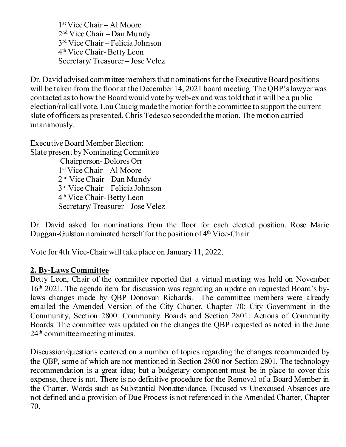1st Vice Chair – Al Moore 2nd Vice Chair – Dan Mundy 3rd Vice Chair – Felicia Johnson 4th Vice Chair- Betty Leon Secretary/ Treasurer – Jose Velez

Dr. David advised committee members that nominations for the Executive Board positions will be taken from the floor at the December 14, 2021 board meeting. The QBP's lawyer was contacted as to how the Board would vote by web-ex and was told that it will be a public election/rollcall vote. Lou Caucig made the motion for the committee to support the current slate of officers as presented. Chris Tedesco seconded the motion. The motion carried unanimously.

Executive Board Member Election: Slate present by Nominating Committee Chairperson- Dolores Orr 1st Vice Chair – Al Moore 2nd Vice Chair – Dan Mundy 3rd Vice Chair – Felicia Johnson 4th Vice Chair- Betty Leon Secretary/ Treasurer – Jose Velez

Dr. David asked for nominations from the floor for each elected position. Rose Marie Duggan-Gulston nominated herself for the position of 4<sup>th</sup> Vice-Chair.

Vote for 4th Vice-Chair will take place on January 11, 2022.

#### **2. By-Laws Committee**

Betty Leon, Chair of the committee reported that a virtual meeting was held on November 16th 2021. The agenda item for discussion was regarding an update on requested Board's bylaws changes made by QBP Donovan Richards. The committee members were already emailed the Amended Version of the City Charter, Chapter 70: City Government in the Community, Section 2800: Community Boards and Section 2801: Actions of Community Boards. The committee was updated on the changes the QBP requested as noted in the June 24<sup>th</sup> committee meeting minutes.

Discussion/questions centered on a number of topics regarding the changes recommended by the QBP, some of which are not mentioned in Section 2800 nor Section 2801. The technology recommendation is a great idea; but a budgetary component must be in place to cover this expense, there is not. There is no definitive procedure for the Removal of a Board Member in the Charter. Words such as Substantial Nonattendance, Excused vs Unexcused Absences are not defined and a provision of Due Process is not referenced in the Amended Charter, Chapter 70.